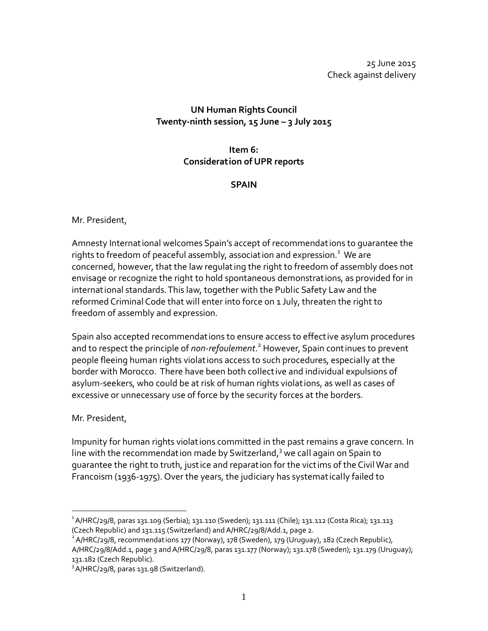25 June 2015 Check against delivery

## **UN Human Rights Council Twenty-ninth session, 15 June – 3 July 2015**

# **Item 6: Consideration of UPR reports**

### **SPAIN**

#### Mr. President,

Amnesty Internat ional welcomes Spain's accept of recommendat ions to guarantee the rights to freedom of peaceful assembly, association and expression. $^{\text{1}}$  We are concerned, however, that the law regulating the right to freedom of assembly does not envisage or recognize the right to hold spontaneous demonstrat ions, as provided for in international standards. This law, together with the Public Safety Law and the reformed Criminal Code that will enter into force on 1 July, threaten the right to freedom of assembly and expression.

Spain also accepted recommendat ions to ensure access to effect ive asylum procedures and to respect the principle of *non-refoulement*. <sup>2</sup> However, Spain cont inues to prevent people fleeing human rights violat ions access to such procedures, especially at the border with Morocco. There have been both collect ive and individual expulsions of asylum-seekers, who could be at risk of human rights violat ions, as well as cases of excessive or unnecessary use of force by the security forces at the borders.

## Mr. President,

 $\overline{a}$ 

Impunity for human rights violat ions committed in the past remains a grave concern. In line with the recommendation made by Switzerland,<sup>3</sup> we call again on Spain to guarantee the right to truth, just ice and reparat ion for the vict ims of the Civil War and Francoism (1936-1975). Over the years, the judiciary has systemat ically failed to

<sup>1</sup> A/HRC/29/8, paras 131.109 (Serbia); 131.110 (Sweden); 131.111 (Chile); 131.112 (Costa Rica); 131.113 (Czech Republic) and 131.115 (Switzerland) and A/HRC/29/8/Add.1, page 2.

<sup>&</sup>lt;sup>2</sup> A/HRC/29/8, recommendations 177 (Norway), 178 (Sweden), 179 (Uruguay), 182 (Czech Republic), A/HRC/29/8/Add.1, page 3 and A/HRC/29/8, paras 131.177 (Norway); 131.178 (Sweden); 131.179 (Uruguay); 131.182 (Czech Republic).

<sup>&</sup>lt;sup>3</sup> A/HRC/29/8, paras 131.98 (Switzerland).